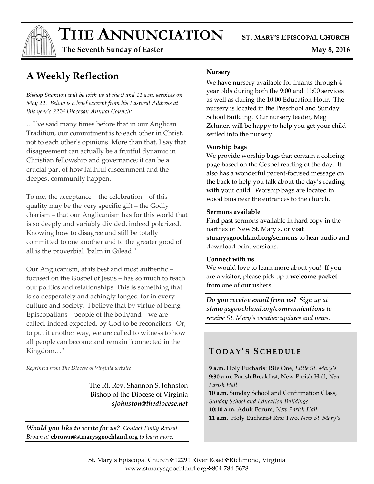$THE$  **ANNUNCIATION** ST. MARY'S EPISCOPAL CHURCH

 **The Seventh Sunday of Easter May 8, 2016** 

# **A Weekly Reflection**

*Bishop Shannon will be with us at the 9 and 11 a.m. services on May 22. Below is a brief excerpt from his Pastoral Address at this year's 221st Diocesan Annual Council:*

…I've said many times before that in our Anglican Tradition, our commitment is to each other in Christ, not to each other's opinions. More than that, I say that disagreement can actually be a fruitful dynamic in Christian fellowship and governance; it can be a crucial part of how faithful discernment and the deepest community happen.

To me, the acceptance – the celebration – of this quality may be the very specific gift – the Godly charism – that our Anglicanism has for this world that is so deeply and variably divided, indeed polarized. Knowing how to disagree and still be totally committed to one another and to the greater good of all is the proverbial "balm in Gilead."

Our Anglicanism, at its best and most authentic – focused on the Gospel of Jesus – has so much to teach our politics and relationships. This is something that is so desperately and achingly longed-for in every culture and society. I believe that by virtue of being Episcopalians – people of the both/and – we are called, indeed expected, by God to be reconcilers. Or, to put it another way, we are called to witness to how all people can become and remain "connected in the Kingdom…"

*Reprinted from The Diocese of Virginia website*

The Rt. Rev. Shannon S. Johnston Bishop of the Diocese of Virginia *sjohnston@thediocese.net*

*Would you like to write for us? Contact Emily Rowell Brown at* **ebrown@stmarysgoochland.org** *to learn more.*

#### **Nursery**

We have nursery available for infants through 4 year olds during both the 9:00 and 11:00 services as well as during the 10:00 Education Hour. The nursery is located in the Preschool and Sunday School Building. Our nursery leader, Meg Zehmer, will be happy to help you get your child settled into the nursery.

#### **Worship bags**

We provide worship bags that contain a coloring page based on the Gospel reading of the day. It also has a wonderful parent-focused message on the back to help you talk about the day's reading with your child. Worship bags are located in wood bins near the entrances to the church.

#### **Sermons available**

Find past sermons available in hard copy in the narthex of New St. Mary's, or visit **stmarysgoochland.org/sermons** to hear audio and download print versions.

#### **Connect with us**

We would love to learn more about you! If you are a visitor, please pick up a **welcome packet** from one of our ushers.

*Do you receive email from us? Sign up at stmarysgoochland.org/communications to receive St. Mary's weather updates and news.*

## **T O D A Y ' S S C H E D U L E**

**9 a.m.** Holy Eucharist Rite One, *Little St. Mary's* **9:30 a.m.** Parish Breakfast, New Parish Hall, *New Parish Hall*

**10 a.m.** Sunday School and Confirmation Class, *Sunday School and Education Buildings* **10:10 a.m.** Adult Forum, *New Parish Hall* **11 a.m.** Holy Eucharist Rite Two, *New St. Mary's*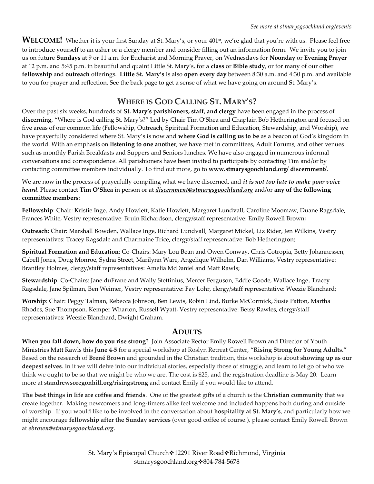**WELCOME!** Whether it is your first Sunday at St. Mary's, or your 401<sup>st</sup>, we're glad that you're with us. Please feel free to introduce yourself to an usher or a clergy member and consider filling out an information form. We invite you to join us on future **Sundays** at 9 or 11 a.m. for Eucharist and Morning Prayer, on Wednesdays for **Noonday** or **Evening Prayer** at 12 p.m. and 5:45 p.m. in beautiful and quaint Little St. Mary's, for a **class** or **Bible study**, or for many of our other **fellowship** and **outreach** offerings. **Little St. Mary's** is also **open every day** between 8:30 a.m. and 4:30 p.m. and available to you for prayer and reflection. See the back page to get a sense of what we have going on around St. Mary's.

## **WHERE IS GOD CALLING ST. MARY'S?**

Over the past six weeks, hundreds of **St. Mary's parishioners, staff, and clergy** have been engaged in the process of **discerning**, "Where is God calling St. Mary's?" Led by Chair Tim O'Shea and Chaplain Bob Hetherington and focused on five areas of our common life (Fellowship, Outreach, Spiritual Formation and Education, Stewardship, and Worship), we have prayerfully considered where St. Mary's is now and **where God is calling us to be** as a beacon of God's kingdom in the world. With an emphasis on **listening to one another**, we have met in committees, Adult Forums, and other venues such as monthly Parish Breakfasts and Suppers and Seniors lunches. We have also engaged in numerous informal conversations and correspondence. All parishioners have been invited to participate by contacting Tim and/or by contacting committee members individually. To find out more, go to **[www.stmarysgoochland.org/ discernment/](http://www.stmarysgoochland.org/%20discernment/)**.

We are now in the process of prayerfully compiling what we have discerned, and *it is not too late to make your voice heard*. Please contact **Tim O'Shea** in person or at *[discernment@stmarysgoochland.org](mailto:discernment@stmarysgoochland.org)* and/or **any of the following committee members:**

**Fellowship**: Chair: Kristie Inge, Andy Howlett, Katie Howlett, Margaret Lundvall, Caroline Moomaw, Duane Ragsdale, Frances White, Vestry representative: Bruin Richardson, clergy/staff representative: Emily Rowell Brown;

**Outreach**: Chair: Marshall Bowden, Wallace Inge, Richard Lundvall, Margaret Mickel, Liz Rider, Jen Wilkins, Vestry representatives: Tracey Ragsdale and Charmaine Trice, clergy/staff representative: Bob Hetherington;

**Spiritual Formation and Education**: Co-Chairs: Mary Lou Bean and Owen Conway, Chris Cotropia, Betty Johannessen, Cabell Jones, Doug Monroe, Sydna Street, Marilynn Ware, Angelique Wilhelm, Dan Williams, Vestry representative: Brantley Holmes, clergy/staff representatives: Amelia McDaniel and Matt Rawls;

**Stewardship**: Co-Chairs: Jane duFrane and Wally Stettinius, Mercer Ferguson, Eddie Goode, Wallace Inge, Tracey Ragsdale, Jane Spilman, Ben Weimer, Vestry representative: Fay Lohr, clergy/staff representative: Weezie Blanchard;

**Worship**: Chair: Peggy Talman, Rebecca Johnson, Ben Lewis, Robin Lind, Burke McCormick, Susie Patton, Martha Rhodes, Sue Thompson, Kemper Wharton, Russell Wyatt, Vestry representative: Betsy Rawles, clergy/staff representatives: Weezie Blanchard, Dwight Graham.

#### **ADULTS**

**When you fall down, how do you rise strong**? Join Associate Rector Emily Rowell Brown and Director of Youth Ministries Matt Rawls this **June 4-5** for a special workshop at Roslyn Retreat Center, **"Rising Strong for Young Adults."** Based on the research of **Brené Brown** and grounded in the Christian tradition, this workshop is about **showing up as our deepest selves**. In it we will delve into our individual stories, especially those of struggle, and learn to let go of who we think we ought to be so that we might be who we are. The cost is \$25, and the registration deadline is May 20. Learn more at **standrewsoregonhill.org/risingstrong** and contact Emily if you would like to attend.

**The best things in life are coffee and friends**. One of the greatest gifts of a church is the **Christian community** that we create together. Making newcomers and long-timers alike feel welcome and included happens both during and outside of worship. If you would like to be involved in the conversation about **hospitality at St. Mary's**, and particularly how we might encourage **fellowship after the Sunday services** (over good coffee of course!), please contact Emily Rowell Brown at *ebrown@stmarysgoochland.org*.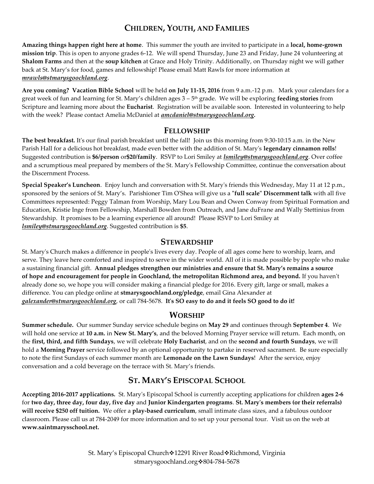### **CHILDREN, YOUTH, AND FAMILIES**

**Amazing things happen right here at home**. This summer the youth are invited to participate in a **local, home-grown mission trip**. This is open to anyone grades 6-12. We will spend Thursday, June 23 and Friday, June 24 volunteering at **Shalom Farms** and then at the **soup kitchen** at Grace and Holy Trinity. Additionally, on Thursday night we will gather back at St. Mary's for food, games and fellowship! Please email Matt Rawls for more information at *[mrawls@stmarysgoochland.org](mailto:mrawls@stmarysgoochland.org)*.

**Are you coming? Vacation Bible School** will be held **on July 11-15, 2016** from 9 a.m.-12 p.m. Mark your calendars for a great week of fun and learning for St. Mary's children ages 3 – 5 th grade. We will be exploring **feeding stories** from Scripture and learning more about the **Eucharist**. Registration will be available soon. Interested in volunteering to help with the week? Please contact Amelia McDaniel at *amcdaniel@stmarysgoochland.org.* 

#### **FELLOWSHIP**

**The best breakfast.** It's our final parish breakfast until the fall! Join us this morning from 9:30-10:15 a.m. in the New Parish Hall for a delicious hot breakfast, made even better with the addition of St. Mary's **legendary cinnamon rolls**! Suggested contribution is **\$6/person** or**\$20/family**. RSVP to Lori Smiley at *lsmiley@stmarysgoochland.org*. Over coffee and a scrumptious meal prepared by members of the St. Mary's Fellowship Committee, continue the conversation about the Discernment Process.

**Special Speaker's Luncheon**. Enjoy lunch and conversation with St. Mary's friends this Wednesday, May 11 at 12 p.m., sponsored by the seniors of St. Mary's. Parishioner Tim O'Shea will give us a **"full scale" Discernment talk** with all five Committees represented: Peggy Talman from Worship, Mary Lou Bean and Owen Conway from Spiritual Formation and Education, Kristie Inge from Fellowship, Marshall Bowden from Outreach, and Jane duFrane and Wally Stettinius from Stewardship. It promises to be a learning experience all around! Please RSVP to Lori Smiley at *lsmiley@stmarysgoochland.org*. Suggested contribution is **\$5**.

#### **STEWARDSHIP**

St. Mary's Church makes a difference in people's lives every day. People of all ages come here to worship, learn, and serve. They leave here comforted and inspired to serve in the wider world. All of it is made possible by people who make a sustaining financial gift. **Annual pledges strengthen our ministries and ensure that St. Mary's remains a source of hope and encouragement for people in Goochland, the metropolitan Richmond area, and beyond.** If you haven't already done so, we hope you will consider making a financial pledge for 2016. Every gift, large or small, makes a difference. You can pledge online at **stmarysgoochland.org/pledge**, email Gina Alexander at *galexander@stmarysgoochland.org*, or call 784-5678. **It's SO easy to do and it feels SO good to do it!**

#### **WORSHIP**

**Summer schedule.** Our summer Sunday service schedule begins on **May 29** and continues through **September 4**. We will hold one service at **10 a.m.** in **New St. Mary's**, and the beloved Morning Prayer service will return. Each month, on the **first, third, and fifth Sundays**, we will celebrate **Holy Eucharist**, and on the **second and fourth Sundays**, we will hold a **Morning Prayer** service followed by an optional opportunity to partake in reserved sacrament. Be sure especially to note the first Sundays of each summer month are **Lemonade on the Lawn Sundays**! After the service, enjoy conversation and a cold beverage on the terrace with St. Mary's friends.

#### **ST. MARY'S EPISCOPAL SCHOOL**

**Accepting 2016-2017 applications.** St. Mary's Episcopal School is currently accepting applications for children **ages 2-6** for **two day, three day, four day, five day** and **Junior Kindergarten programs**. **St. Mary's members (or their referrals) will receive \$250 off tuition.** We offer a **play-based curriculum**, small intimate class sizes, and a fabulous outdoor classroom. Please call us at 784-2049 for more information and to set up your personal tour. Visit us on the web at **www.saintmarysschool.net.**